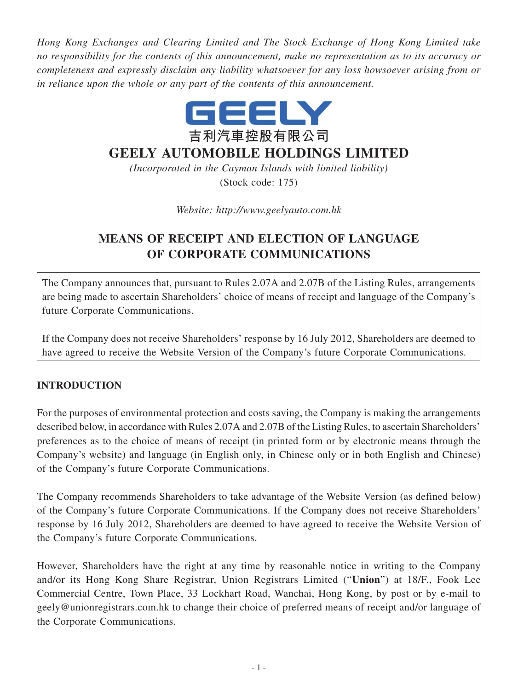*Hong Kong Exchanges and Clearing Limited and The Stock Exchange of Hong Kong Limited take no responsibility for the contents of this announcement, make no representation as to its accuracy or completeness and expressly disclaim any liability whatsoever for any loss howsoever arising from or in reliance upon the whole or any part of the contents of this announcement.*



## **GEELY AUTOMOBILE HOLDINGS LIMITED**

*(Incorporated in the Cayman Islands with limited liability)* (Stock code: 175)

*Website: http://www.geelyauto.com.hk*

# **MEANS OF RECEIPT AND ELECTION OF LANGUAGE OF CORPORATE COMMUNICATIONS**

The Company announces that, pursuant to Rules 2.07A and 2.07B of the Listing Rules, arrangements are being made to ascertain Shareholders' choice of means of receipt and language of the Company's future Corporate Communications.

If the Company does not receive Shareholders' response by 16 July 2012, Shareholders are deemed to have agreed to receive the Website Version of the Company's future Corporate Communications.

### **INTRODUCTION**

For the purposes of environmental protection and costs saving, the Company is making the arrangements described below, in accordance with Rules 2.07A and 2.07B of the Listing Rules, to ascertain Shareholders' preferences as to the choice of means of receipt (in printed form or by electronic means through the Company's website) and language (in English only, in Chinese only or in both English and Chinese) of the Company's future Corporate Communications.

The Company recommends Shareholders to take advantage of the Website Version (as defined below) of the Company's future Corporate Communications. If the Company does not receive Shareholders' response by 16 July 2012, Shareholders are deemed to have agreed to receive the Website Version of the Company's future Corporate Communications.

However, Shareholders have the right at any time by reasonable notice in writing to the Company and/or its Hong Kong Share Registrar, Union Registrars Limited ("**Union**") at 18/F., Fook Lee Commercial Centre, Town Place, 33 Lockhart Road, Wanchai, Hong Kong, by post or by e-mail to geely@unionregistrars.com.hk to change their choice of preferred means of receipt and/or language of the Corporate Communications.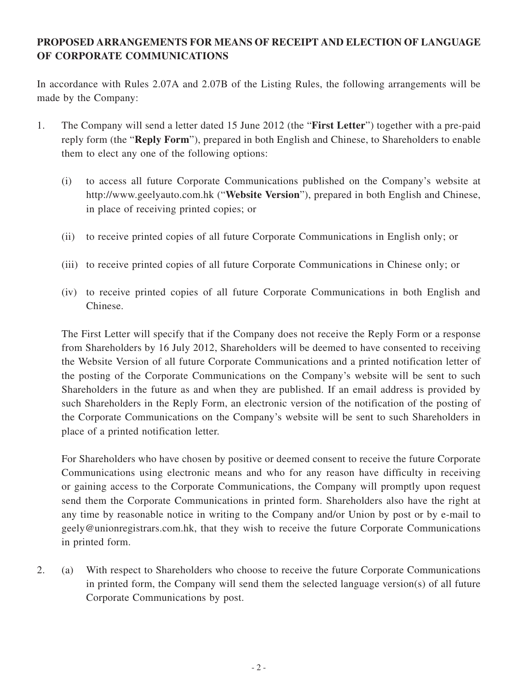### **PROPOSED ARRANGEMENTS FOR MEANS OF RECEIPT AND ELECTION OF LANGUAGE OF CORPORATE COMMUNICATIONS**

In accordance with Rules 2.07A and 2.07B of the Listing Rules, the following arrangements will be made by the Company:

- 1. The Company will send a letter dated 15 June 2012 (the "**First Letter**") together with a pre-paid reply form (the "**Reply Form**"), prepared in both English and Chinese, to Shareholders to enable them to elect any one of the following options:
	- (i) to access all future Corporate Communications published on the Company's website at http://www.geelyauto.com.hk ("**Website Version**"), prepared in both English and Chinese, in place of receiving printed copies; or
	- (ii) to receive printed copies of all future Corporate Communications in English only; or
	- (iii) to receive printed copies of all future Corporate Communications in Chinese only; or
	- (iv) to receive printed copies of all future Corporate Communications in both English and Chinese.

The First Letter will specify that if the Company does not receive the Reply Form or a response from Shareholders by 16 July 2012, Shareholders will be deemed to have consented to receiving the Website Version of all future Corporate Communications and a printed notification letter of the posting of the Corporate Communications on the Company's website will be sent to such Shareholders in the future as and when they are published. If an email address is provided by such Shareholders in the Reply Form, an electronic version of the notification of the posting of the Corporate Communications on the Company's website will be sent to such Shareholders in place of a printed notification letter.

For Shareholders who have chosen by positive or deemed consent to receive the future Corporate Communications using electronic means and who for any reason have difficulty in receiving or gaining access to the Corporate Communications, the Company will promptly upon request send them the Corporate Communications in printed form. Shareholders also have the right at any time by reasonable notice in writing to the Company and/or Union by post or by e-mail to geely@unionregistrars.com.hk, that they wish to receive the future Corporate Communications in printed form.

2. (a) With respect to Shareholders who choose to receive the future Corporate Communications in printed form, the Company will send them the selected language version(s) of all future Corporate Communications by post.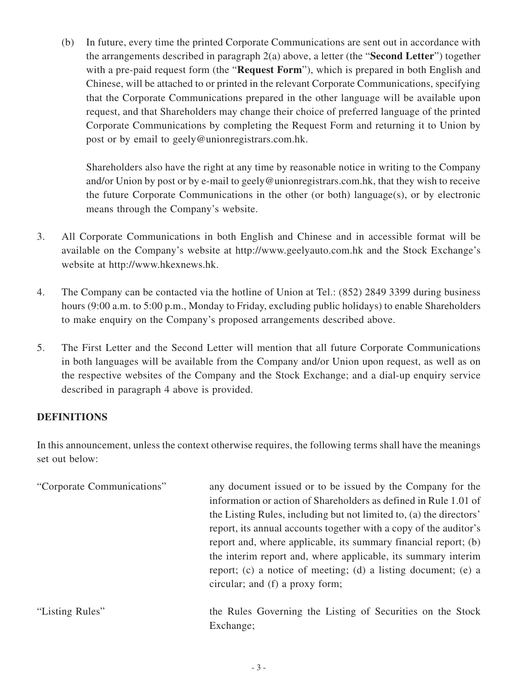(b) In future, every time the printed Corporate Communications are sent out in accordance with the arrangements described in paragraph 2(a) above, a letter (the "**Second Letter**") together with a pre-paid request form (the "**Request Form**"), which is prepared in both English and Chinese, will be attached to or printed in the relevant Corporate Communications, specifying that the Corporate Communications prepared in the other language will be available upon request, and that Shareholders may change their choice of preferred language of the printed Corporate Communications by completing the Request Form and returning it to Union by post or by email to geely@unionregistrars.com.hk.

Shareholders also have the right at any time by reasonable notice in writing to the Company and/or Union by post or by e-mail to geely@unionregistrars.com.hk, that they wish to receive the future Corporate Communications in the other (or both) language(s), or by electronic means through the Company's website.

- 3. All Corporate Communications in both English and Chinese and in accessible format will be available on the Company's website at http://www.geelyauto.com.hk and the Stock Exchange's website at http://www.hkexnews.hk.
- 4. The Company can be contacted via the hotline of Union at Tel.: (852) 2849 3399 during business hours (9:00 a.m. to 5:00 p.m., Monday to Friday, excluding public holidays) to enable Shareholders to make enquiry on the Company's proposed arrangements described above.
- 5. The First Letter and the Second Letter will mention that all future Corporate Communications in both languages will be available from the Company and/or Union upon request, as well as on the respective websites of the Company and the Stock Exchange; and a dial-up enquiry service described in paragraph 4 above is provided.

### **DEFINITIONS**

In this announcement, unless the context otherwise requires, the following terms shall have the meanings set out below:

| "Corporate Communications" | any document issued or to be issued by the Company for the<br>information or action of Shareholders as defined in Rule 1.01 of<br>the Listing Rules, including but not limited to, (a) the directors'<br>report, its annual accounts together with a copy of the auditor's<br>report and, where applicable, its summary financial report; (b)<br>the interim report and, where applicable, its summary interim<br>report; (c) a notice of meeting; (d) a listing document; (e) a<br>circular; and (f) a proxy form; |
|----------------------------|---------------------------------------------------------------------------------------------------------------------------------------------------------------------------------------------------------------------------------------------------------------------------------------------------------------------------------------------------------------------------------------------------------------------------------------------------------------------------------------------------------------------|
| "Listing Rules"            | the Rules Governing the Listing of Securities on the Stock<br>Exchange;                                                                                                                                                                                                                                                                                                                                                                                                                                             |